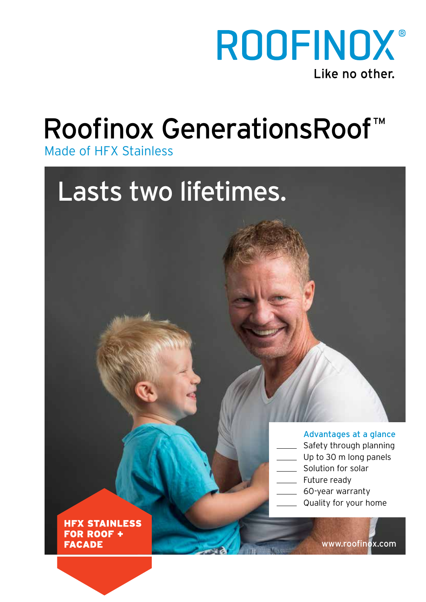

# Roofinox GenerationsRoof™

# Made of HFX Stainless

# Lasts two lifetimes.

#### Advantages at a glance

- Safety through planning
- Up to 30 m long panels
- Solution for solar
- Future ready
- 60-year warranty
- Quality for your home

**HFX STAINLESS FOR ROOF + FACADE** 

www.roofinox.com